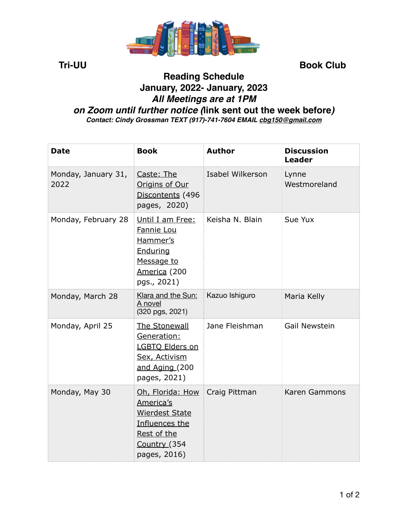

**Tri-UU Book Club** 

## **Reading Schedule January, 2022- January, 2023** *All Meetings are at 1PM on Zoom until further notice (***link sent out the week before***) Contact: Cindy Grossman TEXT (917)-741-7604 EMAIL [cbg150@gmail.com](mailto:cbg150@gmail.com)*

| <b>Date</b>                 | <b>Book</b>                                                                                                                           | <b>Author</b>    | <b>Discussion</b><br><b>Leader</b> |
|-----------------------------|---------------------------------------------------------------------------------------------------------------------------------------|------------------|------------------------------------|
| Monday, January 31,<br>2022 | Caste: The<br>Origins of Our<br>Discontents (496<br>pages, 2020)                                                                      | Isabel Wilkerson | Lynne<br>Westmoreland              |
| Monday, February 28         | Until I am Free:<br>Fannie Lou<br>Hammer's<br>Enduring<br>Message to<br>America (200<br>pgs., 2021)                                   | Keisha N. Blain  | Sue Yux                            |
| Monday, March 28            | Klara and the Sun:<br>A novel<br>(320 pgs, 2021)                                                                                      | Kazuo Ishiguro   | Maria Kelly                        |
| Monday, April 25            | The Stonewall<br>Generation:<br>LGBTQ Elders on<br>Sex, Activism<br>and Aging (200<br>pages, 2021)                                    | Jane Fleishman   | <b>Gail Newstein</b>               |
| Monday, May 30              | Oh, Florida: How Craig Pittman<br>America's<br><b>Wierdest State</b><br>Influences the<br>Rest of the<br>Country (354<br>pages, 2016) |                  | Karen Gammons                      |